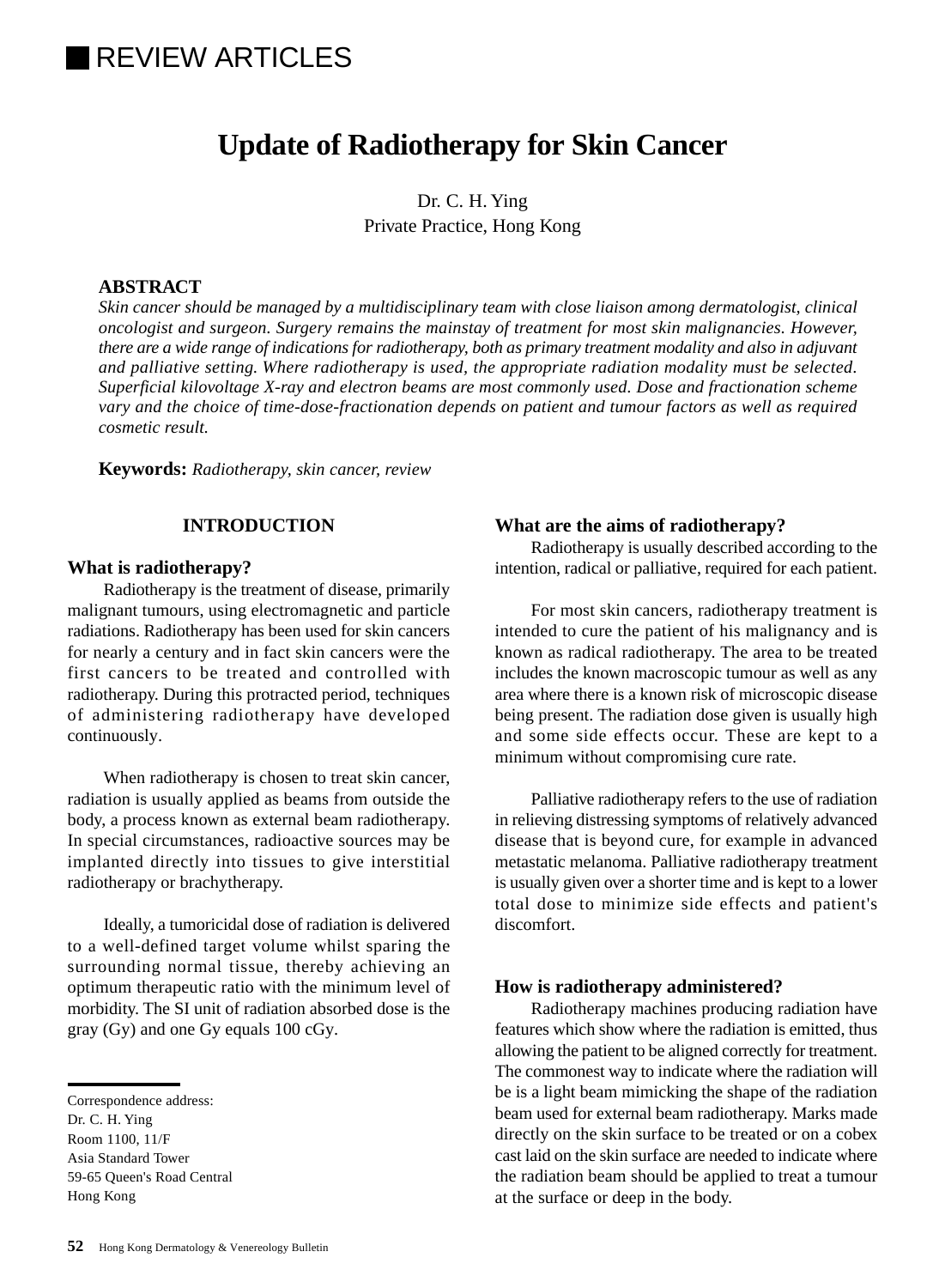# **IREVIEW ARTICLES**

# **Update of Radiotherapy for Skin Cancer**

Dr. C. H. Ying Private Practice, Hong Kong

## **ABSTRACT**

*Skin cancer should be managed by a multidisciplinary team with close liaison among dermatologist, clinical oncologist and surgeon. Surgery remains the mainstay of treatment for most skin malignancies. However, there are a wide range of indications for radiotherapy, both as primary treatment modality and also in adjuvant and palliative setting. Where radiotherapy is used, the appropriate radiation modality must be selected. Superficial kilovoltage X-ray and electron beams are most commonly used. Dose and fractionation scheme vary and the choice of time-dose-fractionation depends on patient and tumour factors as well as required cosmetic result.*

**Keywords:** *Radiotherapy, skin cancer, review*

## **INTRODUCTION**

#### **What is radiotherapy?**

Radiotherapy is the treatment of disease, primarily malignant tumours, using electromagnetic and particle radiations. Radiotherapy has been used for skin cancers for nearly a century and in fact skin cancers were the first cancers to be treated and controlled with radiotherapy. During this protracted period, techniques of administering radiotherapy have developed continuously.

When radiotherapy is chosen to treat skin cancer, radiation is usually applied as beams from outside the body, a process known as external beam radiotherapy. In special circumstances, radioactive sources may be implanted directly into tissues to give interstitial radiotherapy or brachytherapy.

Ideally, a tumoricidal dose of radiation is delivered to a well-defined target volume whilst sparing the surrounding normal tissue, thereby achieving an optimum therapeutic ratio with the minimum level of morbidity. The SI unit of radiation absorbed dose is the gray (Gy) and one Gy equals 100 cGy.

- Room 1100, 11/F
- Asia Standard Tower

#### **What are the aims of radiotherapy?**

Radiotherapy is usually described according to the intention, radical or palliative, required for each patient.

For most skin cancers, radiotherapy treatment is intended to cure the patient of his malignancy and is known as radical radiotherapy. The area to be treated includes the known macroscopic tumour as well as any area where there is a known risk of microscopic disease being present. The radiation dose given is usually high and some side effects occur. These are kept to a minimum without compromising cure rate.

Palliative radiotherapy refers to the use of radiation in relieving distressing symptoms of relatively advanced disease that is beyond cure, for example in advanced metastatic melanoma. Palliative radiotherapy treatment is usually given over a shorter time and is kept to a lower total dose to minimize side effects and patient's discomfort.

#### **How is radiotherapy administered?**

Radiotherapy machines producing radiation have features which show where the radiation is emitted, thus allowing the patient to be aligned correctly for treatment. The commonest way to indicate where the radiation will be is a light beam mimicking the shape of the radiation beam used for external beam radiotherapy. Marks made directly on the skin surface to be treated or on a cobex cast laid on the skin surface are needed to indicate where the radiation beam should be applied to treat a tumour at the surface or deep in the body.

Correspondence address:

Dr. C. H. Ying

<sup>59-65</sup> Queen's Road Central

Hong Kong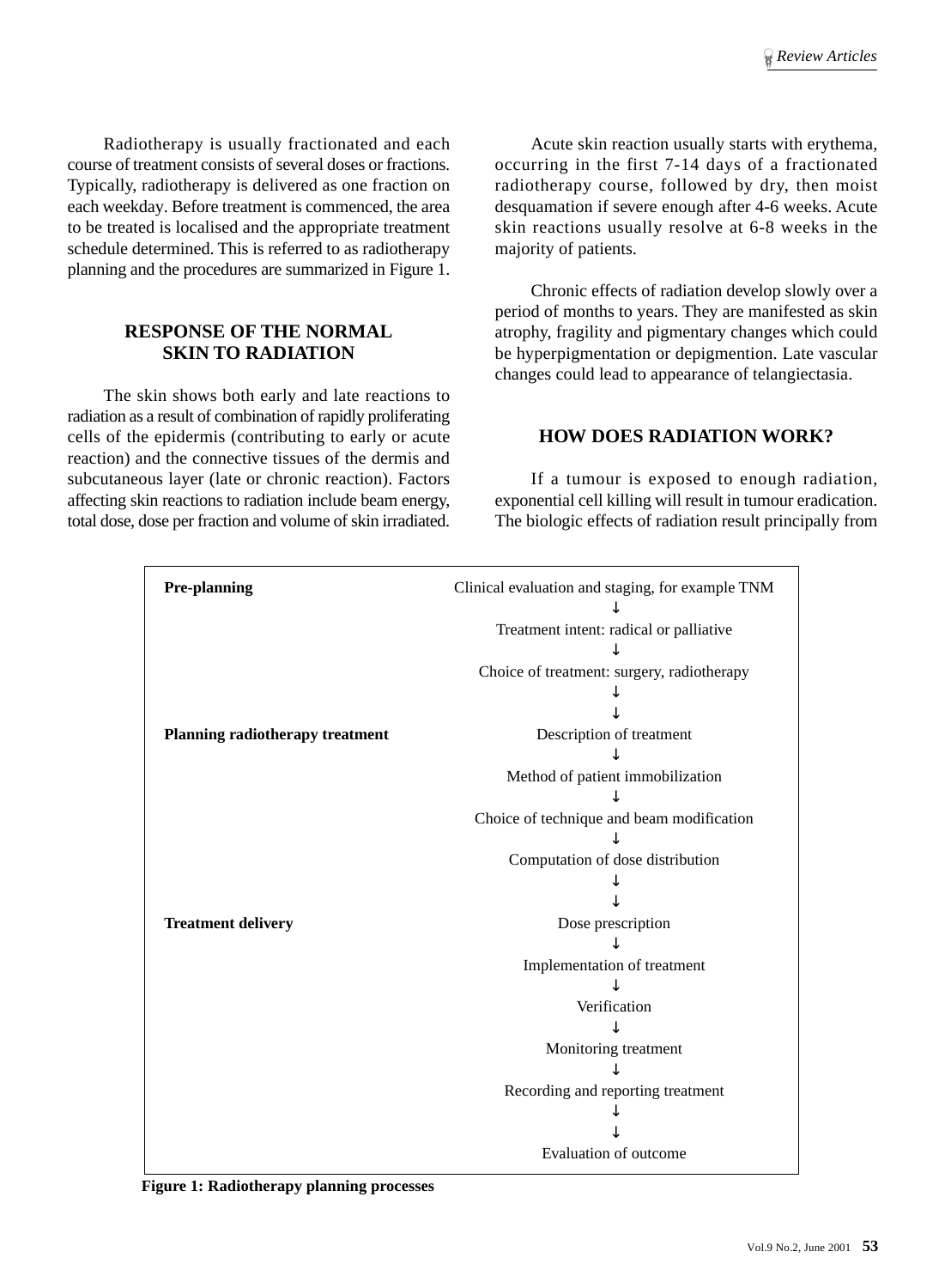Radiotherapy is usually fractionated and each course of treatment consists of several doses or fractions. Typically, radiotherapy is delivered as one fraction on each weekday. Before treatment is commenced, the area to be treated is localised and the appropriate treatment schedule determined. This is referred to as radiotherapy planning and the procedures are summarized in Figure 1.

## **RESPONSE OF THE NORMAL SKIN TO RADIATION**

The skin shows both early and late reactions to radiation as a result of combination of rapidly proliferating cells of the epidermis (contributing to early or acute reaction) and the connective tissues of the dermis and subcutaneous layer (late or chronic reaction). Factors affecting skin reactions to radiation include beam energy, total dose, dose per fraction and volume of skin irradiated.

Acute skin reaction usually starts with erythema, occurring in the first 7-14 days of a fractionated radiotherapy course, followed by dry, then moist desquamation if severe enough after 4-6 weeks. Acute skin reactions usually resolve at 6-8 weeks in the majority of patients.

Chronic effects of radiation develop slowly over a period of months to years. They are manifested as skin atrophy, fragility and pigmentary changes which could be hyperpigmentation or depigmention. Late vascular changes could lead to appearance of telangiectasia.

## **HOW DOES RADIATION WORK?**

If a tumour is exposed to enough radiation, exponential cell killing will result in tumour eradication. The biologic effects of radiation result principally from

| <b>Pre-planning</b>                    | Clinical evaluation and staging, for example TNM |
|----------------------------------------|--------------------------------------------------|
|                                        | Treatment intent: radical or palliative          |
|                                        | Choice of treatment: surgery, radiotherapy       |
|                                        |                                                  |
| <b>Planning radiotherapy treatment</b> | Description of treatment                         |
|                                        |                                                  |
|                                        | Method of patient immobilization                 |
|                                        |                                                  |
|                                        | Choice of technique and beam modification        |
|                                        |                                                  |
|                                        | Computation of dose distribution                 |
|                                        |                                                  |
|                                        |                                                  |
| <b>Treatment delivery</b>              | Dose prescription                                |
|                                        |                                                  |
|                                        | Implementation of treatment                      |
|                                        |                                                  |
|                                        | Verification                                     |
|                                        |                                                  |
|                                        | Monitoring treatment                             |
|                                        |                                                  |
|                                        | Recording and reporting treatment                |
|                                        |                                                  |
|                                        |                                                  |
|                                        | Evaluation of outcome                            |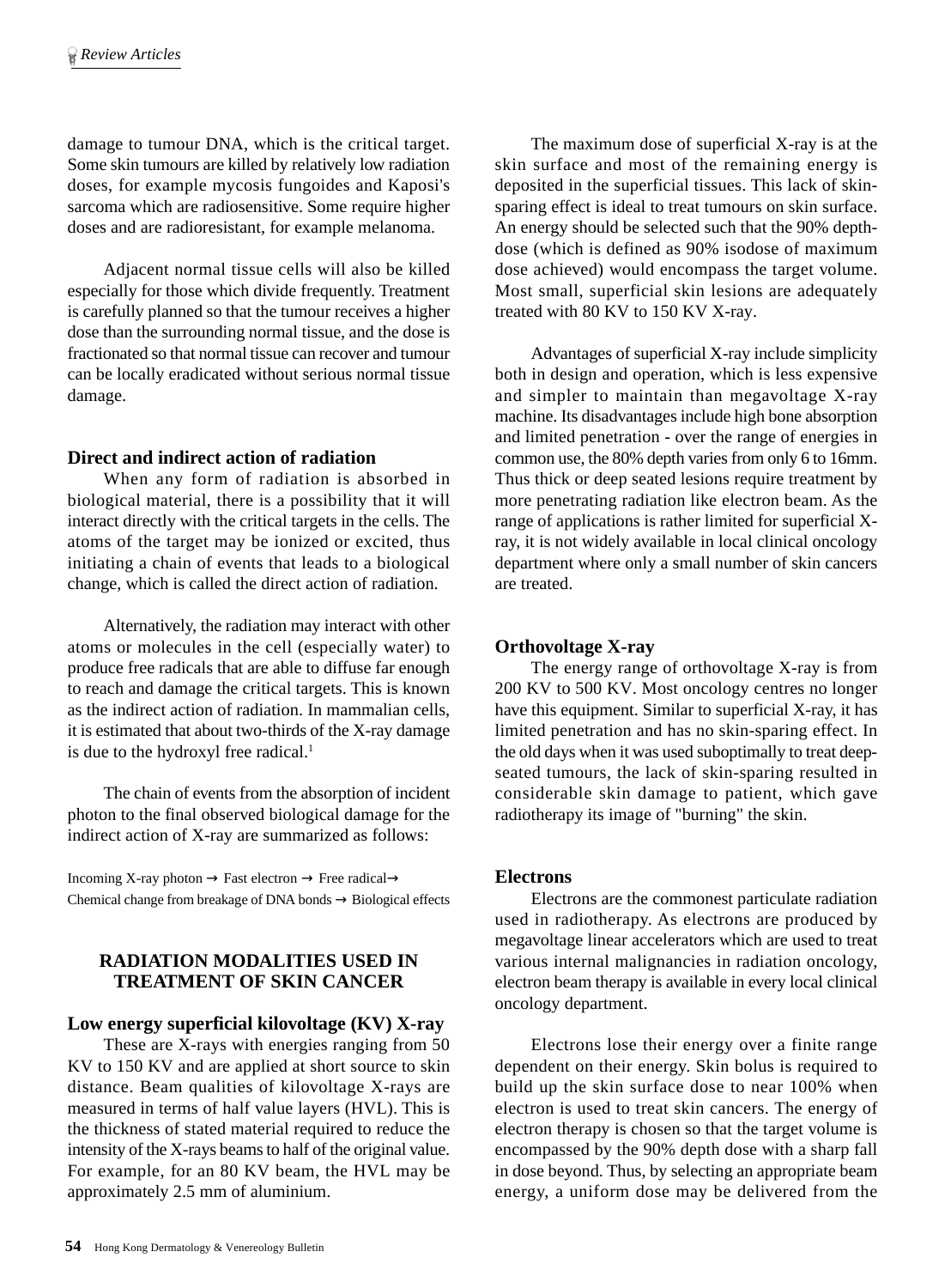damage to tumour DNA, which is the critical target. Some skin tumours are killed by relatively low radiation doses, for example mycosis fungoides and Kaposi's sarcoma which are radiosensitive. Some require higher doses and are radioresistant, for example melanoma.

Adjacent normal tissue cells will also be killed especially for those which divide frequently. Treatment is carefully planned so that the tumour receives a higher dose than the surrounding normal tissue, and the dose is fractionated so that normal tissue can recover and tumour can be locally eradicated without serious normal tissue damage.

#### **Direct and indirect action of radiation**

When any form of radiation is absorbed in biological material, there is a possibility that it will interact directly with the critical targets in the cells. The atoms of the target may be ionized or excited, thus initiating a chain of events that leads to a biological change, which is called the direct action of radiation.

Alternatively, the radiation may interact with other atoms or molecules in the cell (especially water) to produce free radicals that are able to diffuse far enough to reach and damage the critical targets. This is known as the indirect action of radiation. In mammalian cells, it is estimated that about two-thirds of the X-ray damage is due to the hydroxyl free radical.<sup>1</sup>

The chain of events from the absorption of incident photon to the final observed biological damage for the indirect action of X-ray are summarized as follows:

Incoming X-ray photon  $\rightarrow$  Fast electron  $\rightarrow$  Free radical $\rightarrow$ Chemical change from breakage of DNA bonds → Biological effects

## **RADIATION MODALITIES USED IN TREATMENT OF SKIN CANCER**

#### **Low energy superficial kilovoltage (KV) X-ray**

These are X-rays with energies ranging from 50 KV to 150 KV and are applied at short source to skin distance. Beam qualities of kilovoltage X-rays are measured in terms of half value layers (HVL). This is the thickness of stated material required to reduce the intensity of the X-rays beams to half of the original value. For example, for an 80 KV beam, the HVL may be approximately 2.5 mm of aluminium.

The maximum dose of superficial X-ray is at the skin surface and most of the remaining energy is deposited in the superficial tissues. This lack of skinsparing effect is ideal to treat tumours on skin surface. An energy should be selected such that the 90% depthdose (which is defined as 90% isodose of maximum dose achieved) would encompass the target volume. Most small, superficial skin lesions are adequately treated with 80 KV to 150 KV X-ray.

Advantages of superficial X-ray include simplicity both in design and operation, which is less expensive and simpler to maintain than megavoltage X-ray machine. Its disadvantages include high bone absorption and limited penetration - over the range of energies in common use, the 80% depth varies from only 6 to 16mm. Thus thick or deep seated lesions require treatment by more penetrating radiation like electron beam. As the range of applications is rather limited for superficial Xray, it is not widely available in local clinical oncology department where only a small number of skin cancers are treated.

#### **Orthovoltage X-ray**

The energy range of orthovoltage X-ray is from 200 KV to 500 KV. Most oncology centres no longer have this equipment. Similar to superficial X-ray, it has limited penetration and has no skin-sparing effect. In the old days when it was used suboptimally to treat deepseated tumours, the lack of skin-sparing resulted in considerable skin damage to patient, which gave radiotherapy its image of "burning" the skin.

#### **Electrons**

Electrons are the commonest particulate radiation used in radiotherapy. As electrons are produced by megavoltage linear accelerators which are used to treat various internal malignancies in radiation oncology, electron beam therapy is available in every local clinical oncology department.

Electrons lose their energy over a finite range dependent on their energy. Skin bolus is required to build up the skin surface dose to near 100% when electron is used to treat skin cancers. The energy of electron therapy is chosen so that the target volume is encompassed by the 90% depth dose with a sharp fall in dose beyond. Thus, by selecting an appropriate beam energy, a uniform dose may be delivered from the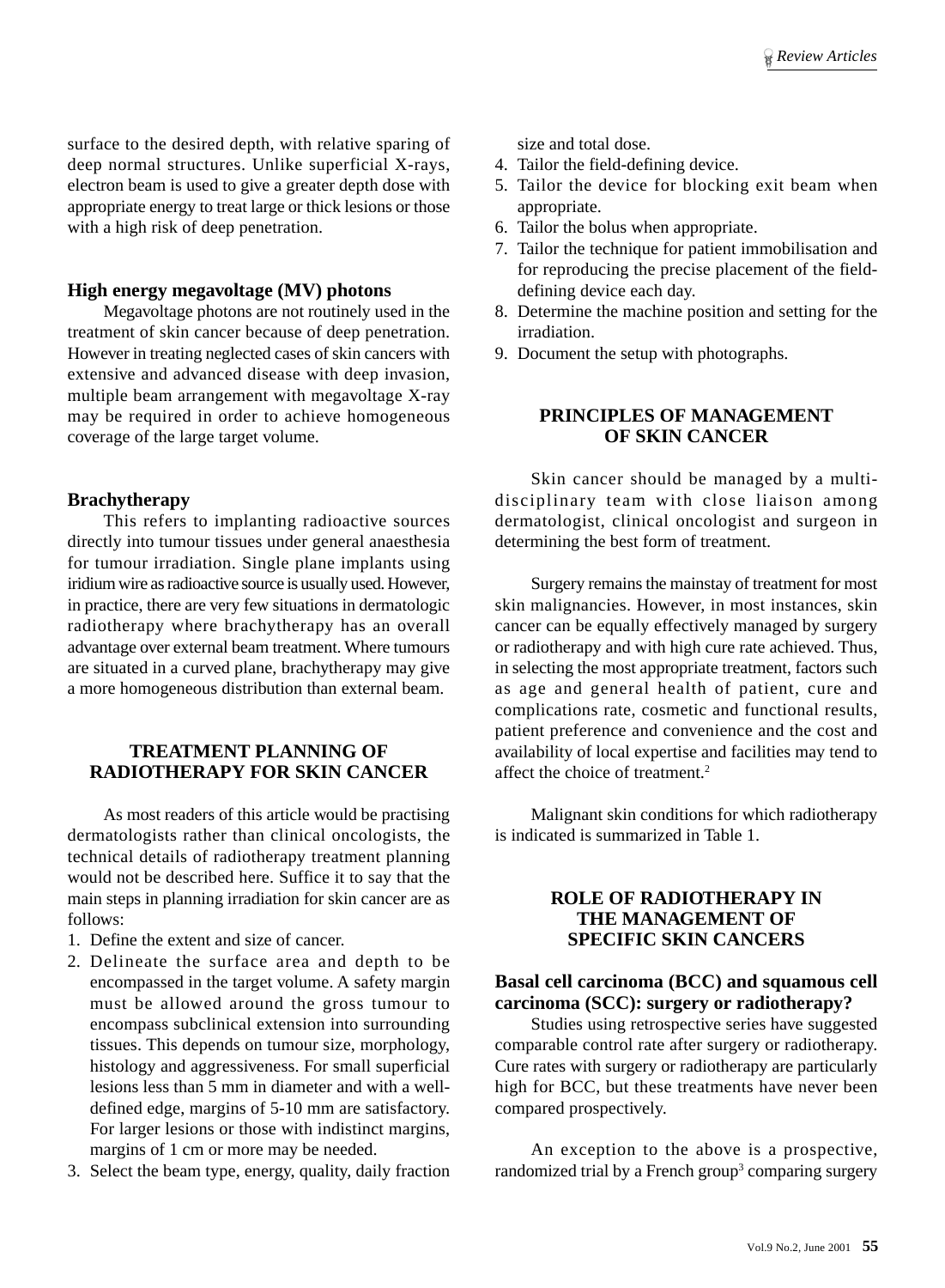surface to the desired depth, with relative sparing of deep normal structures. Unlike superficial X-rays, electron beam is used to give a greater depth dose with appropriate energy to treat large or thick lesions or those with a high risk of deep penetration.

#### **High energy megavoltage (MV) photons**

Megavoltage photons are not routinely used in the treatment of skin cancer because of deep penetration. However in treating neglected cases of skin cancers with extensive and advanced disease with deep invasion, multiple beam arrangement with megavoltage X-ray may be required in order to achieve homogeneous coverage of the large target volume.

## **Brachytherapy**

This refers to implanting radioactive sources directly into tumour tissues under general anaesthesia for tumour irradiation. Single plane implants using iridium wire as radioactive source is usually used. However, in practice, there are very few situations in dermatologic radiotherapy where brachytherapy has an overall advantage over external beam treatment. Where tumours are situated in a curved plane, brachytherapy may give a more homogeneous distribution than external beam.

## **TREATMENT PLANNING OF RADIOTHERAPY FOR SKIN CANCER**

As most readers of this article would be practising dermatologists rather than clinical oncologists, the technical details of radiotherapy treatment planning would not be described here. Suffice it to say that the main steps in planning irradiation for skin cancer are as follows:

- 1. Define the extent and size of cancer.
- 2. Delineate the surface area and depth to be encompassed in the target volume. A safety margin must be allowed around the gross tumour to encompass subclinical extension into surrounding tissues. This depends on tumour size, morphology, histology and aggressiveness. For small superficial lesions less than 5 mm in diameter and with a welldefined edge, margins of 5-10 mm are satisfactory. For larger lesions or those with indistinct margins, margins of 1 cm or more may be needed.
- 3. Select the beam type, energy, quality, daily fraction

size and total dose.

- 4. Tailor the field-defining device.
- 5. Tailor the device for blocking exit beam when appropriate.
- 6. Tailor the bolus when appropriate.
- 7. Tailor the technique for patient immobilisation and for reproducing the precise placement of the fielddefining device each day.
- 8. Determine the machine position and setting for the irradiation.
- 9. Document the setup with photographs.

#### **PRINCIPLES OF MANAGEMENT OF SKIN CANCER**

Skin cancer should be managed by a multidisciplinary team with close liaison among dermatologist, clinical oncologist and surgeon in determining the best form of treatment.

Surgery remains the mainstay of treatment for most skin malignancies. However, in most instances, skin cancer can be equally effectively managed by surgery or radiotherapy and with high cure rate achieved. Thus, in selecting the most appropriate treatment, factors such as age and general health of patient, cure and complications rate, cosmetic and functional results, patient preference and convenience and the cost and availability of local expertise and facilities may tend to affect the choice of treatment.2

Malignant skin conditions for which radiotherapy is indicated is summarized in Table 1.

#### **ROLE OF RADIOTHERAPY IN THE MANAGEMENT OF SPECIFIC SKIN CANCERS**

## **Basal cell carcinoma (BCC) and squamous cell carcinoma (SCC): surgery or radiotherapy?**

Studies using retrospective series have suggested comparable control rate after surgery or radiotherapy. Cure rates with surgery or radiotherapy are particularly high for BCC, but these treatments have never been compared prospectively.

An exception to the above is a prospective, randomized trial by a French group<sup>3</sup> comparing surgery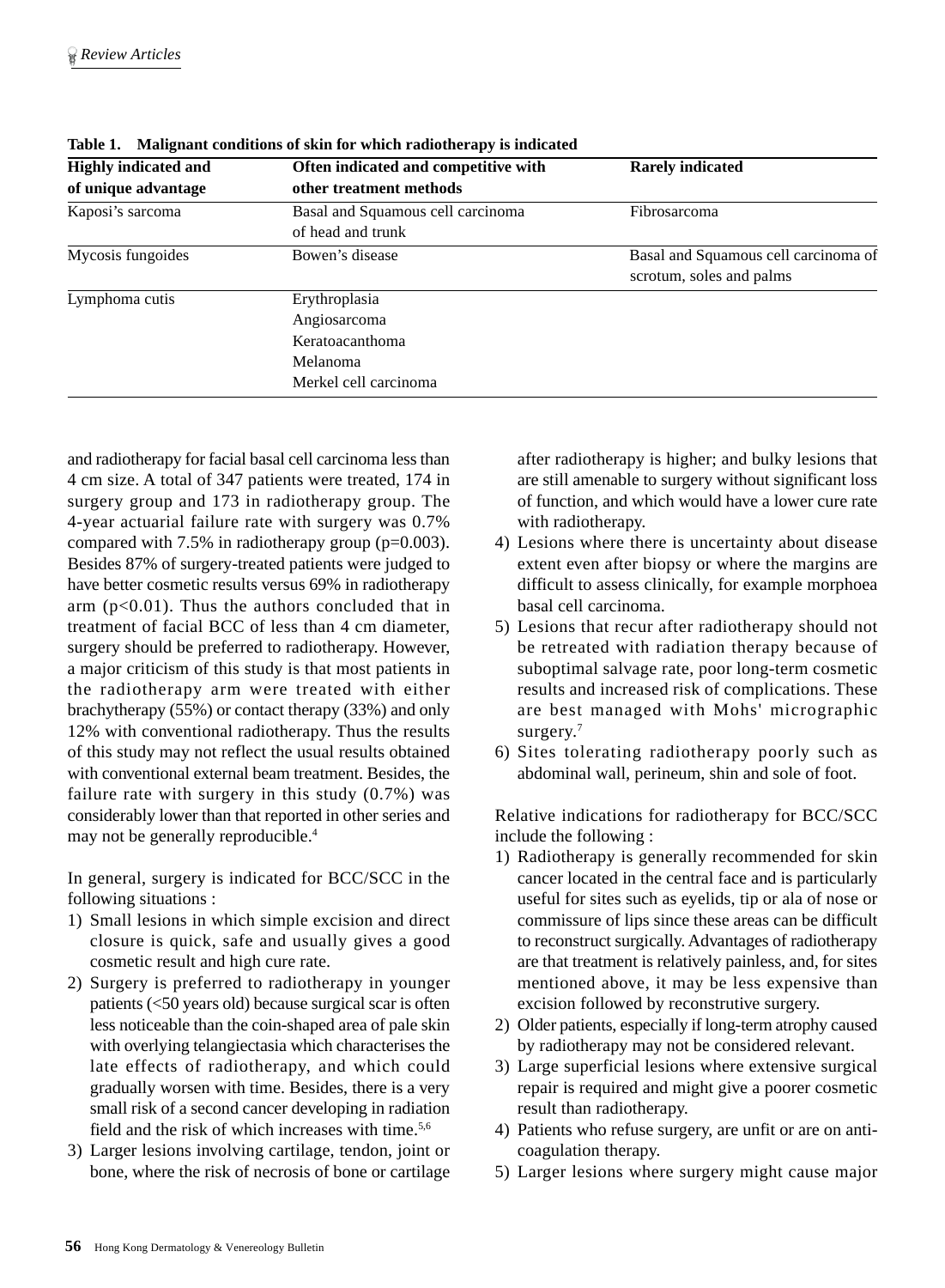| <b>Highly indicated and</b><br>of unique advantage | Often indicated and competitive with<br>other treatment methods                       | <b>Rarely indicated</b>                                          |  |  |
|----------------------------------------------------|---------------------------------------------------------------------------------------|------------------------------------------------------------------|--|--|
| Kaposi's sarcoma                                   | Basal and Squamous cell carcinoma<br>Fibrosarcoma<br>of head and trunk                |                                                                  |  |  |
| Mycosis fungoides                                  | Bowen's disease                                                                       | Basal and Squamous cell carcinoma of<br>scrotum, soles and palms |  |  |
| Lymphoma cutis                                     | Erythroplasia<br>Angiosarcoma<br>Keratoacanthoma<br>Melanoma<br>Merkel cell carcinoma |                                                                  |  |  |

| Table 1. Malignant conditions of skin for which radiotherapy is indicated |  |  |  |  |
|---------------------------------------------------------------------------|--|--|--|--|
|                                                                           |  |  |  |  |
|                                                                           |  |  |  |  |

and radiotherapy for facial basal cell carcinoma less than 4 cm size. A total of 347 patients were treated, 174 in surgery group and 173 in radiotherapy group. The 4-year actuarial failure rate with surgery was 0.7% compared with 7.5% in radiotherapy group (p=0.003). Besides 87% of surgery-treated patients were judged to have better cosmetic results versus 69% in radiotherapy arm  $(p<0.01)$ . Thus the authors concluded that in treatment of facial BCC of less than 4 cm diameter, surgery should be preferred to radiotherapy. However, a major criticism of this study is that most patients in the radiotherapy arm were treated with either brachytherapy (55%) or contact therapy (33%) and only 12% with conventional radiotherapy. Thus the results of this study may not reflect the usual results obtained with conventional external beam treatment. Besides, the failure rate with surgery in this study (0.7%) was considerably lower than that reported in other series and may not be generally reproducible.4

In general, surgery is indicated for BCC/SCC in the following situations :

- 1) Small lesions in which simple excision and direct closure is quick, safe and usually gives a good cosmetic result and high cure rate.
- 2) Surgery is preferred to radiotherapy in younger patients (<50 years old) because surgical scar is often less noticeable than the coin-shaped area of pale skin with overlying telangiectasia which characterises the late effects of radiotherapy, and which could gradually worsen with time. Besides, there is a very small risk of a second cancer developing in radiation field and the risk of which increases with time.<sup>5,6</sup>
- 3) Larger lesions involving cartilage, tendon, joint or bone, where the risk of necrosis of bone or cartilage

after radiotherapy is higher; and bulky lesions that are still amenable to surgery without significant loss of function, and which would have a lower cure rate with radiotherapy.

- 4) Lesions where there is uncertainty about disease extent even after biopsy or where the margins are difficult to assess clinically, for example morphoea basal cell carcinoma.
- 5) Lesions that recur after radiotherapy should not be retreated with radiation therapy because of suboptimal salvage rate, poor long-term cosmetic results and increased risk of complications. These are best managed with Mohs' micrographic surgery.<sup>7</sup>
- 6) Sites tolerating radiotherapy poorly such as abdominal wall, perineum, shin and sole of foot.

Relative indications for radiotherapy for BCC/SCC include the following :

- 1) Radiotherapy is generally recommended for skin cancer located in the central face and is particularly useful for sites such as eyelids, tip or ala of nose or commissure of lips since these areas can be difficult to reconstruct surgically. Advantages of radiotherapy are that treatment is relatively painless, and, for sites mentioned above, it may be less expensive than excision followed by reconstrutive surgery.
- 2) Older patients, especially if long-term atrophy caused by radiotherapy may not be considered relevant.
- 3) Large superficial lesions where extensive surgical repair is required and might give a poorer cosmetic result than radiotherapy.
- 4) Patients who refuse surgery, are unfit or are on anticoagulation therapy.
- 5) Larger lesions where surgery might cause major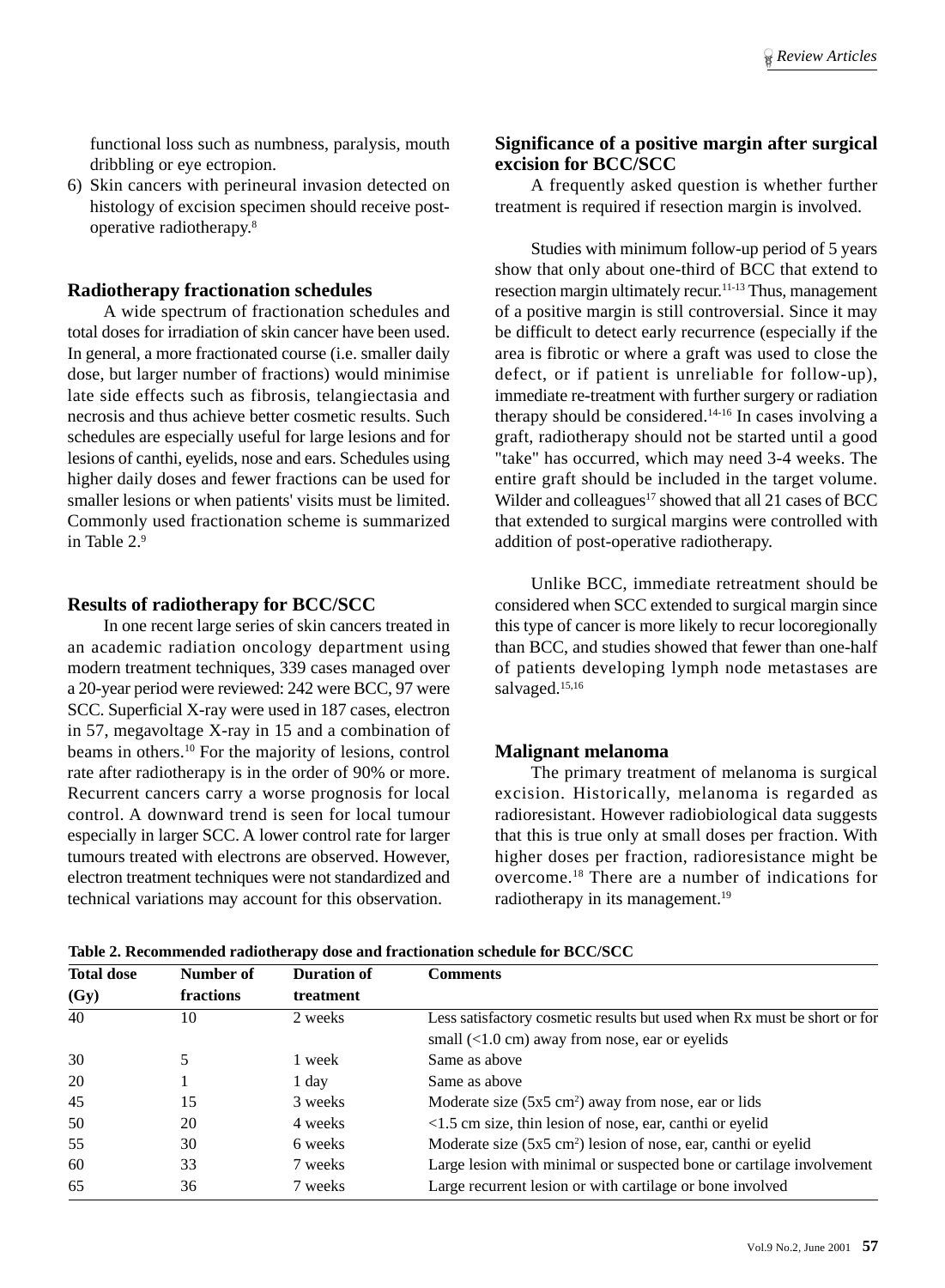functional loss such as numbness, paralysis, mouth dribbling or eye ectropion.

6) Skin cancers with perineural invasion detected on histology of excision specimen should receive postoperative radiotherapy.8

#### **Radiotherapy fractionation schedules**

A wide spectrum of fractionation schedules and total doses for irradiation of skin cancer have been used. In general, a more fractionated course (i.e. smaller daily dose, but larger number of fractions) would minimise late side effects such as fibrosis, telangiectasia and necrosis and thus achieve better cosmetic results. Such schedules are especially useful for large lesions and for lesions of canthi, eyelids, nose and ears. Schedules using higher daily doses and fewer fractions can be used for smaller lesions or when patients' visits must be limited. Commonly used fractionation scheme is summarized in Table 2.9

## **Results of radiotherapy for BCC/SCC**

In one recent large series of skin cancers treated in an academic radiation oncology department using modern treatment techniques, 339 cases managed over a 20-year period were reviewed: 242 were BCC, 97 were SCC. Superficial X-ray were used in 187 cases, electron in 57, megavoltage X-ray in 15 and a combination of beams in others.10 For the majority of lesions, control rate after radiotherapy is in the order of 90% or more. Recurrent cancers carry a worse prognosis for local control. A downward trend is seen for local tumour especially in larger SCC. A lower control rate for larger tumours treated with electrons are observed. However, electron treatment techniques were not standardized and technical variations may account for this observation.

## **Significance of a positive margin after surgical excision for BCC/SCC**

A frequently asked question is whether further treatment is required if resection margin is involved.

Studies with minimum follow-up period of 5 years show that only about one-third of BCC that extend to resection margin ultimately recur.11-13 Thus, management of a positive margin is still controversial. Since it may be difficult to detect early recurrence (especially if the area is fibrotic or where a graft was used to close the defect, or if patient is unreliable for follow-up), immediate re-treatment with further surgery or radiation therapy should be considered.14-16 In cases involving a graft, radiotherapy should not be started until a good "take" has occurred, which may need 3-4 weeks. The entire graft should be included in the target volume. Wilder and colleagues<sup>17</sup> showed that all 21 cases of BCC that extended to surgical margins were controlled with addition of post-operative radiotherapy.

Unlike BCC, immediate retreatment should be considered when SCC extended to surgical margin since this type of cancer is more likely to recur locoregionally than BCC, and studies showed that fewer than one-half of patients developing lymph node metastases are salvaged.<sup>15,16</sup>

## **Malignant melanoma**

The primary treatment of melanoma is surgical excision. Historically, melanoma is regarded as radioresistant. However radiobiological data suggests that this is true only at small doses per fraction. With higher doses per fraction, radioresistance might be overcome.18 There are a number of indications for radiotherapy in its management.<sup>19</sup>

| <b>Total dose</b> | Number of | <b>Duration of</b> | <b>Comments</b>                                                            |  |  |
|-------------------|-----------|--------------------|----------------------------------------------------------------------------|--|--|
| (Gy)              | fractions | treatment          |                                                                            |  |  |
| 40                | 10        | 2 weeks            | Less satisfactory cosmetic results but used when Rx must be short or for   |  |  |
|                   |           |                    | small $(<1.0$ cm) away from nose, ear or eyelids                           |  |  |
| 30                | 5         | 1 week             | Same as above                                                              |  |  |
| 20                |           | 1 day              | Same as above                                                              |  |  |
| 45                | 15        | 3 weeks            | Moderate size $(5x5 \text{ cm}^2)$ away from nose, ear or lids             |  |  |
| 50                | 20        | 4 weeks            | $<$ 1.5 cm size, thin lesion of nose, ear, canthi or eyelid                |  |  |
| 55                | 30        | 6 weeks            | Moderate size (5x5 cm <sup>2</sup> ) lesion of nose, ear, canthi or eyelid |  |  |
| 60                | 33        | 7 weeks            | Large lesion with minimal or suspected bone or cartilage involvement       |  |  |
| 65                | 36        | 7 weeks            | Large recurrent lesion or with cartilage or bone involved                  |  |  |

**Table 2. Recommended radiotherapy dose and fractionation schedule for BCC/SCC**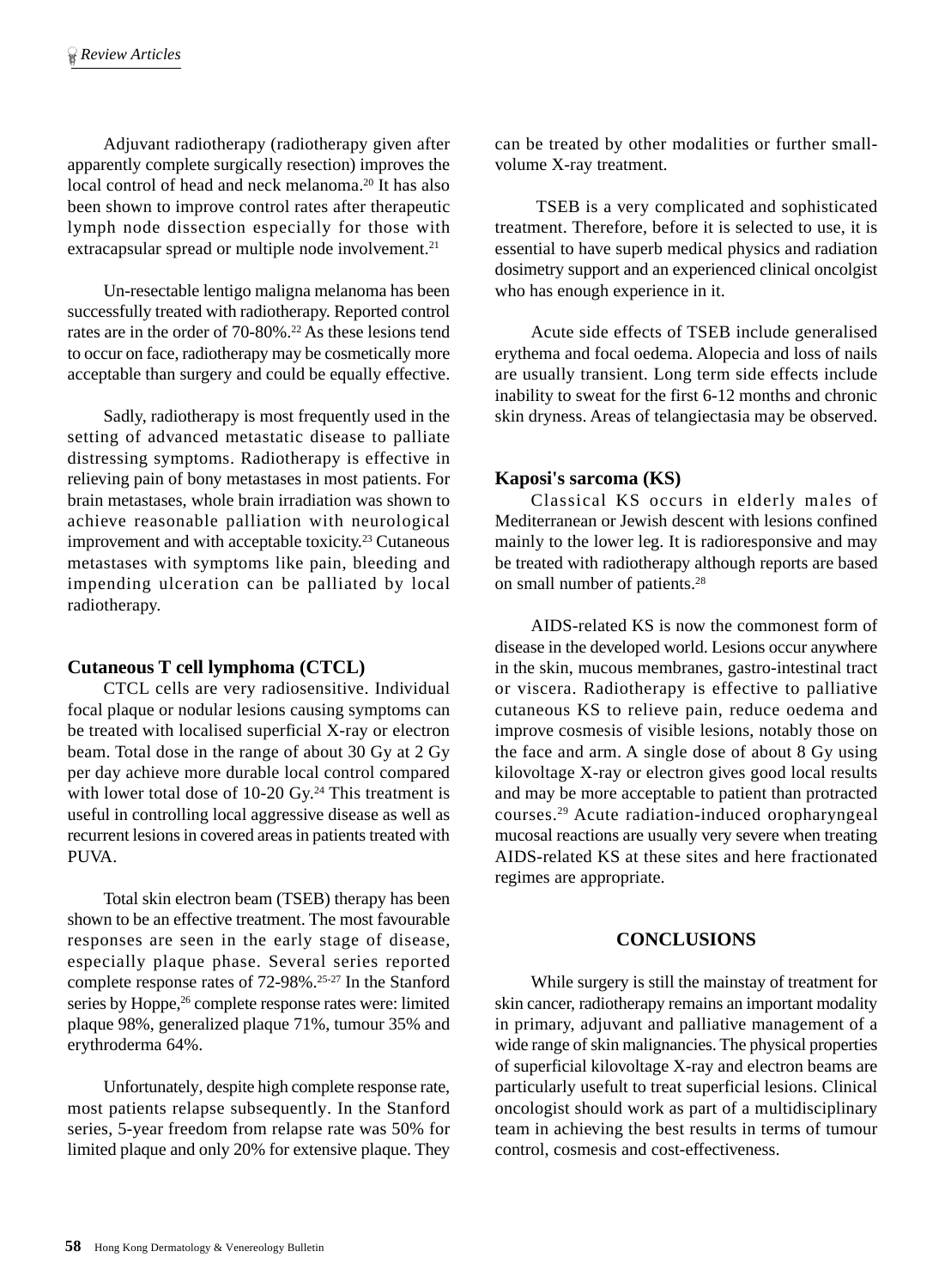Adjuvant radiotherapy (radiotherapy given after apparently complete surgically resection) improves the local control of head and neck melanoma.<sup>20</sup> It has also been shown to improve control rates after therapeutic lymph node dissection especially for those with extracapsular spread or multiple node involvement.<sup>21</sup>

Un-resectable lentigo maligna melanoma has been successfully treated with radiotherapy. Reported control rates are in the order of 70-80%.<sup>22</sup> As these lesions tend to occur on face, radiotherapy may be cosmetically more acceptable than surgery and could be equally effective.

Sadly, radiotherapy is most frequently used in the setting of advanced metastatic disease to palliate distressing symptoms. Radiotherapy is effective in relieving pain of bony metastases in most patients. For brain metastases, whole brain irradiation was shown to achieve reasonable palliation with neurological improvement and with acceptable toxicity.23 Cutaneous metastases with symptoms like pain, bleeding and impending ulceration can be palliated by local radiotherapy.

# **Cutaneous T cell lymphoma (CTCL)**

CTCL cells are very radiosensitive. Individual focal plaque or nodular lesions causing symptoms can be treated with localised superficial X-ray or electron beam. Total dose in the range of about 30 Gy at 2 Gy per day achieve more durable local control compared with lower total dose of  $10-20$  Gy.<sup>24</sup> This treatment is useful in controlling local aggressive disease as well as recurrent lesions in covered areas in patients treated with PUVA.

Total skin electron beam (TSEB) therapy has been shown to be an effective treatment. The most favourable responses are seen in the early stage of disease, especially plaque phase. Several series reported complete response rates of 72-98%.25-27 In the Stanford series by Hoppe,<sup>26</sup> complete response rates were: limited plaque 98%, generalized plaque 71%, tumour 35% and erythroderma 64%.

Unfortunately, despite high complete response rate, most patients relapse subsequently. In the Stanford series, 5-year freedom from relapse rate was 50% for limited plaque and only 20% for extensive plaque. They can be treated by other modalities or further smallvolume X-ray treatment.

 TSEB is a very complicated and sophisticated treatment. Therefore, before it is selected to use, it is essential to have superb medical physics and radiation dosimetry support and an experienced clinical oncolgist who has enough experience in it.

Acute side effects of TSEB include generalised erythema and focal oedema. Alopecia and loss of nails are usually transient. Long term side effects include inability to sweat for the first 6-12 months and chronic skin dryness. Areas of telangiectasia may be observed.

# **Kaposi's sarcoma (KS)**

Classical KS occurs in elderly males of Mediterranean or Jewish descent with lesions confined mainly to the lower leg. It is radioresponsive and may be treated with radiotherapy although reports are based on small number of patients.28

AIDS-related KS is now the commonest form of disease in the developed world. Lesions occur anywhere in the skin, mucous membranes, gastro-intestinal tract or viscera. Radiotherapy is effective to palliative cutaneous KS to relieve pain, reduce oedema and improve cosmesis of visible lesions, notably those on the face and arm. A single dose of about 8 Gy using kilovoltage X-ray or electron gives good local results and may be more acceptable to patient than protracted courses.29 Acute radiation-induced oropharyngeal mucosal reactions are usually very severe when treating AIDS-related KS at these sites and here fractionated regimes are appropriate.

# **CONCLUSIONS**

While surgery is still the mainstay of treatment for skin cancer, radiotherapy remains an important modality in primary, adjuvant and palliative management of a wide range of skin malignancies. The physical properties of superficial kilovoltage X-ray and electron beams are particularly usefult to treat superficial lesions. Clinical oncologist should work as part of a multidisciplinary team in achieving the best results in terms of tumour control, cosmesis and cost-effectiveness.